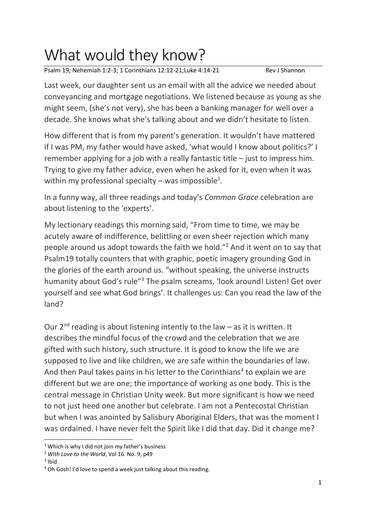## What would they know?

Psalm 19; Nehemiah 1:2-3; 1 Corinthians 12:12-21;Luke 4:14-21 Rev J Shannon

Last week, our daughter sent us an email with all the advice we needed about conveyancing and mortgage negotiations. We listened because as young as she might seem, (she's not very), she has been a banking manager for well over a decade. She knows what she's talking about and we didn't hesitate to listen.

How different that is from my parent's generation. It wouldn't have mattered if I was PM, my father would have asked, 'what would I know about politics?' I remember applying for a job with a really fantastic title – just to impress him. Trying to give my father advice, even when he asked for it, even when it was within my professional specialty – was impossible<sup>1</sup>.

In a funny way, all three readings and today's *Common Grace* celebration are about listening to the 'experts'.

My lectionary readings this morning said, "From time to time, we may be acutely aware of indifference, belittling or even sheer rejection which many people around us adopt towards the faith we hold."<sup>2</sup> And it went on to say that Psalm19 totally counters that with graphic, poetic imagery grounding God in the glories of the earth around us. "without speaking, the universe instructs humanity about God's rule<sup>"3</sup> The psalm screams, 'look around! Listen! Get over yourself and see what God brings'. It challenges us: Can you read the law of the land?

Our  $2^{nd}$  reading is about listening intently to the law – as it is written. It describes the mindful focus of the crowd and the celebration that we are gifted with such history, such structure. It is good to know the life we are supposed to live and like children, we are safe within the boundaries of law. And then Paul takes pains in his letter to the Corinthians<sup>4</sup> to explain we are different but we are one; the importance of working as one body. This is the central message in Christian Unity week. But more significant is how we need to not just heed one another but celebrate. I am not a Pentecostal Christian but when I was anointed by Salisbury Aboriginal Elders, that was the moment I was ordained. I have never felt the Spirit like I did that day. Did it change me?

<sup>&</sup>lt;sup>1</sup> Which is why I did not join my father's business

<sup>2</sup> *With Love to the World*, Vol 16. No. 9, p49

<sup>&</sup>lt;sup>3</sup> Ibid

<sup>&</sup>lt;sup>4</sup> Oh Gosh! I'd love to spend a week just talking about this reading.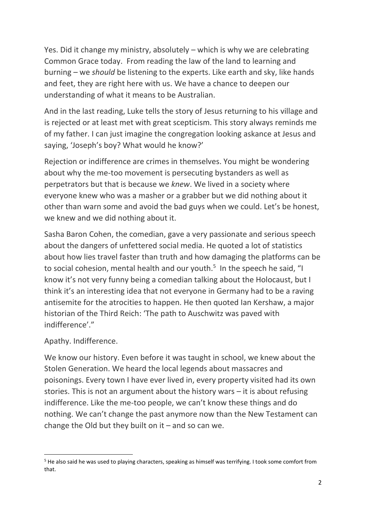Yes. Did it change my ministry, absolutely – which is why we are celebrating Common Grace today. From reading the law of the land to learning and burning – we *should* be listening to the experts. Like earth and sky, like hands and feet, they are right here with us. We have a chance to deepen our understanding of what it means to be Australian.

And in the last reading, Luke tells the story of Jesus returning to his village and is rejected or at least met with great scepticism. This story always reminds me of my father. I can just imagine the congregation looking askance at Jesus and saying, 'Joseph's boy? What would he know?'

Rejection or indifference are crimes in themselves. You might be wondering about why the me-too movement is persecuting bystanders as well as perpetrators but that is because we *knew*. We lived in a society where everyone knew who was a masher or a grabber but we did nothing about it other than warn some and avoid the bad guys when we could. Let's be honest, we knew and we did nothing about it.

Sasha Baron Cohen, the comedian, gave a very passionate and serious speech about the dangers of unfettered social media. He quoted a lot of statistics about how lies travel faster than truth and how damaging the platforms can be to social cohesion, mental health and our youth.<sup>5</sup> In the speech he said, "I know it's not very funny being a comedian talking about the Holocaust, but I think it's an interesting idea that not everyone in Germany had to be a raving antisemite for the atrocities to happen. He then quoted Ian Kershaw, a major historian of the Third Reich: 'The path to Auschwitz was paved with indifference'."

Apathy. Indifference.

We know our history. Even before it was taught in school, we knew about the Stolen Generation. We heard the local legends about massacres and poisonings. Every town I have ever lived in, every property visited had its own stories. This is not an argument about the history wars – it is about refusing indifference. Like the me-too people, we can't know these things and do nothing. We can't change the past anymore now than the New Testament can change the Old but they built on  $it$  – and so can we.

<sup>5</sup> He also said he was used to playing characters, speaking as himself was terrifying. I took some comfort from that.